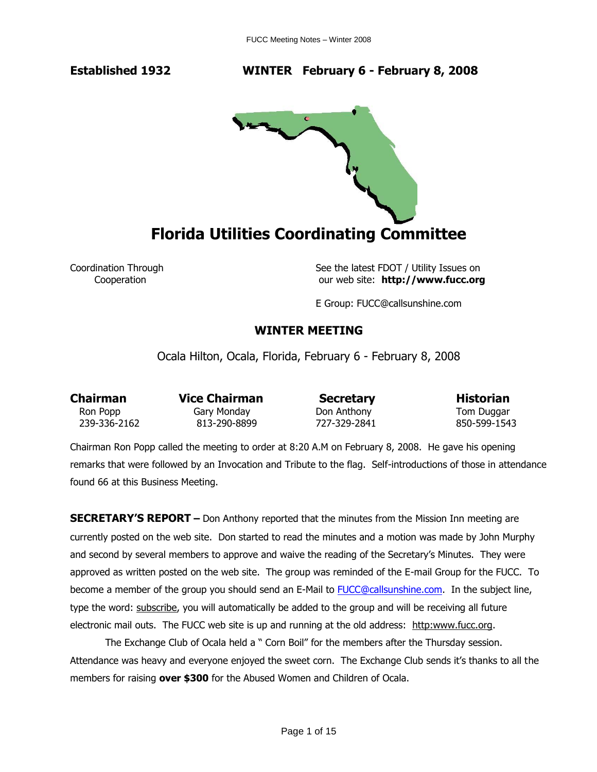**Established 1932 WINTER February 6 - February 8, 2008** 



Coordination Through See the latest FDOT / Utility Issues on Cooperation our web site: **http://www.fucc.org**

E Group: FUCC@callsunshine.com

### **WINTER MEETING**

Ocala Hilton, Ocala, Florida, February 6 - February 8, 2008

**Chairman** Vice Chairman Secretary Historian

Ron Popp **Gary Monday** Don Anthony **Tom Duggar** 239-336-2162 813-290-8899 727-329-2841 850-599-1543

Chairman Ron Popp called the meeting to order at 8:20 A.M on February 8, 2008. He gave his opening remarks that were followed by an Invocation and Tribute to the flag. Self-introductions of those in attendance found 66 at this Business Meeting.

**SECRETARY'S REPORT –** Don Anthony reported that the minutes from the Mission Inn meeting are currently posted on the web site. Don started to read the minutes and a motion was made by John Murphy and second by several members to approve and waive the reading of the Secretary's Minutes. They were approved as written posted on the web site. The group was reminded of the E-mail Group for the FUCC. To become a member of the group you should send an E-Mail to **FUCC@callsunshine.com.** In the subject line, type the word: subscribe, you will automatically be added to the group and will be receiving all future electronic mail outs. The FUCC web site is up and running at the old address: http:www.fucc.org.

The Exchange Club of Ocala held a " Corn Boil" for the members after the Thursday session. Attendance was heavy and everyone enjoyed the sweet corn. The Exchange Club sends it's thanks to all the members for raising **over \$300** for the Abused Women and Children of Ocala.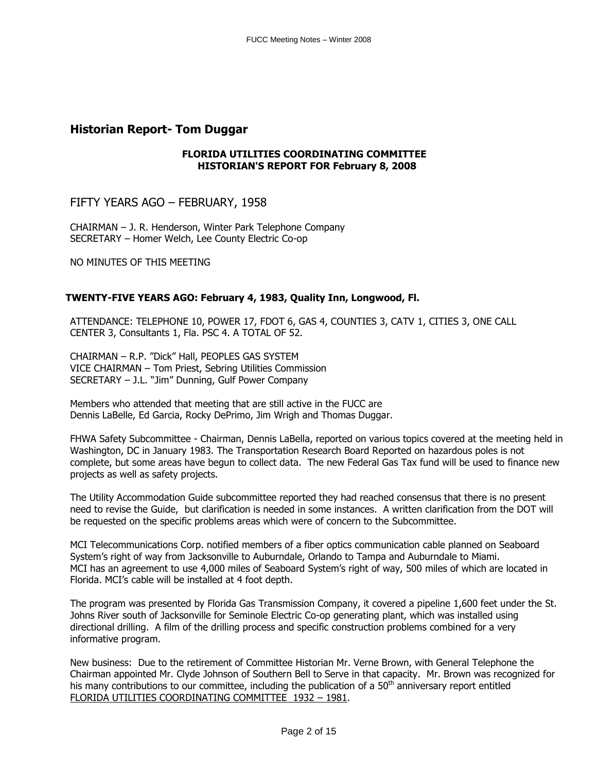## **Historian Report- Tom Duggar**

### **FLORIDA UTILITIES COORDINATING COMMITTEE HISTORIAN'S REPORT FOR February 8, 2008**

FIFTY YEARS AGO – FEBRUARY, 1958

CHAIRMAN – J. R. Henderson, Winter Park Telephone Company SECRETARY – Homer Welch, Lee County Electric Co-op

NO MINUTES OF THIS MEETING

### **TWENTY-FIVE YEARS AGO: February 4, 1983, Quality Inn, Longwood, Fl.**

ATTENDANCE: TELEPHONE 10, POWER 17, FDOT 6, GAS 4, COUNTIES 3, CATV 1, CITIES 3, ONE CALL CENTER 3, Consultants 1, Fla. PSC 4. A TOTAL OF 52.

CHAIRMAN – R.P. "Dick" Hall, PEOPLES GAS SYSTEM VICE CHAIRMAN – Tom Priest, Sebring Utilities Commission SECRETARY – J.L. "Jim" Dunning, Gulf Power Company

Members who attended that meeting that are still active in the FUCC are Dennis LaBelle, Ed Garcia, Rocky DePrimo, Jim Wrigh and Thomas Duggar.

FHWA Safety Subcommittee - Chairman, Dennis LaBella, reported on various topics covered at the meeting held in Washington, DC in January 1983. The Transportation Research Board Reported on hazardous poles is not complete, but some areas have begun to collect data. The new Federal Gas Tax fund will be used to finance new projects as well as safety projects.

The Utility Accommodation Guide subcommittee reported they had reached consensus that there is no present need to revise the Guide, but clarification is needed in some instances. A written clarification from the DOT will be requested on the specific problems areas which were of concern to the Subcommittee.

MCI Telecommunications Corp. notified members of a fiber optics communication cable planned on Seaboard System's right of way from Jacksonville to Auburndale, Orlando to Tampa and Auburndale to Miami. MCI has an agreement to use 4,000 miles of Seaboard System's right of way, 500 miles of which are located in Florida. MCI's cable will be installed at 4 foot depth.

The program was presented by Florida Gas Transmission Company, it covered a pipeline 1,600 feet under the St. Johns River south of Jacksonville for Seminole Electric Co-op generating plant, which was installed using directional drilling. A film of the drilling process and specific construction problems combined for a very informative program.

New business: Due to the retirement of Committee Historian Mr. Verne Brown, with General Telephone the Chairman appointed Mr. Clyde Johnson of Southern Bell to Serve in that capacity. Mr. Brown was recognized for his many contributions to our committee, including the publication of a  $50<sup>th</sup>$  anniversary report entitled FLORIDA UTILITIES COORDINATING COMMITTEE 1932 – 1981.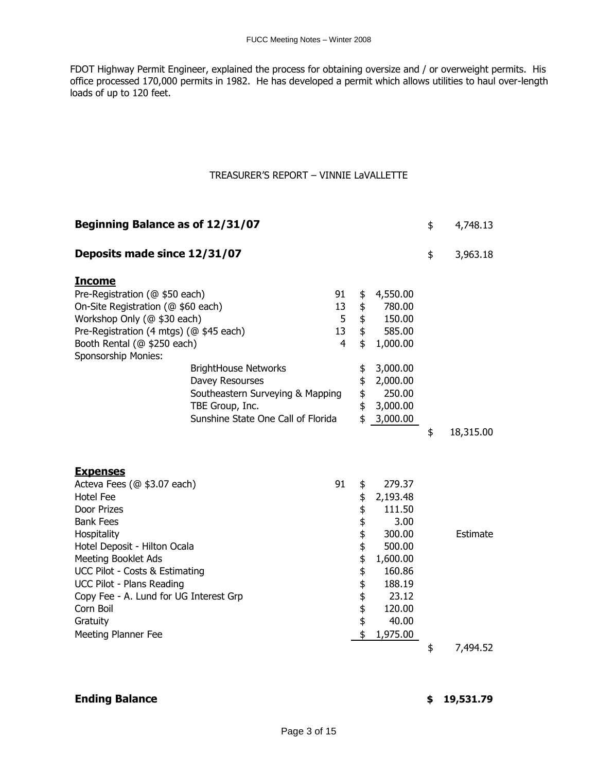FDOT Highway Permit Engineer, explained the process for obtaining oversize and / or overweight permits. His office processed 170,000 permits in 1982. He has developed a permit which allows utilities to haul over-length loads of up to 120 feet.

### TREASURER'S REPORT – VINNIE LaVALLETTE

| Beginning Balance as of 12/31/07                                                                                                                                                                                                                                                                                                                                     |  |                                       |                                                                  |                                                                                                                                  | \$<br>4,748.13  |
|----------------------------------------------------------------------------------------------------------------------------------------------------------------------------------------------------------------------------------------------------------------------------------------------------------------------------------------------------------------------|--|---------------------------------------|------------------------------------------------------------------|----------------------------------------------------------------------------------------------------------------------------------|-----------------|
| Deposits made since 12/31/07                                                                                                                                                                                                                                                                                                                                         |  |                                       |                                                                  |                                                                                                                                  | \$<br>3,963.18  |
| <b>Income</b><br>Pre-Registration (@ \$50 each)<br>On-Site Registration (@ \$60 each)<br>Workshop Only (@ \$30 each)<br>Pre-Registration (4 mtgs) (@ \$45 each)<br>Booth Rental (@ \$250 each)<br>Sponsorship Monies:<br><b>BrightHouse Networks</b><br>Davey Resourses<br>Southeastern Surveying & Mapping<br>TBE Group, Inc.<br>Sunshine State One Call of Florida |  | 91<br>13<br>5<br>13<br>$\overline{4}$ | \$<br>\$<br>$\pmb{\ddagger}$<br>\$<br>\$<br>\$<br>\$<br>\$<br>\$ | 4,550.00<br>780.00<br>150.00<br>585.00<br>1,000.00<br>3,000.00<br>2,000.00<br>250.00<br>3,000.00<br>\$3,000.00                   |                 |
|                                                                                                                                                                                                                                                                                                                                                                      |  |                                       |                                                                  |                                                                                                                                  | \$<br>18,315.00 |
| <b>Expenses</b><br>Acteva Fees (@ \$3.07 each)<br><b>Hotel Fee</b><br>Door Prizes<br><b>Bank Fees</b><br>Hospitality<br>Hotel Deposit - Hilton Ocala<br><b>Meeting Booklet Ads</b><br>UCC Pilot - Costs & Estimating<br><b>UCC Pilot - Plans Reading</b><br>Copy Fee - A. Lund for UG Interest Grp<br>Corn Boil<br>Gratuity<br>Meeting Planner Fee                   |  | 91                                    | \$<br>\$<br>\$\$\$\$\$\$<br>\$\$\$<br>\$<br>\$                   | 279.37<br>2,193.48<br>111.50<br>3.00<br>300.00<br>500.00<br>1,600.00<br>160.86<br>188.19<br>23.12<br>120.00<br>40.00<br>1,975.00 | Estimate        |
|                                                                                                                                                                                                                                                                                                                                                                      |  |                                       |                                                                  |                                                                                                                                  | \$<br>7,494.52  |

### **Ending Balance \$ 19,531.79**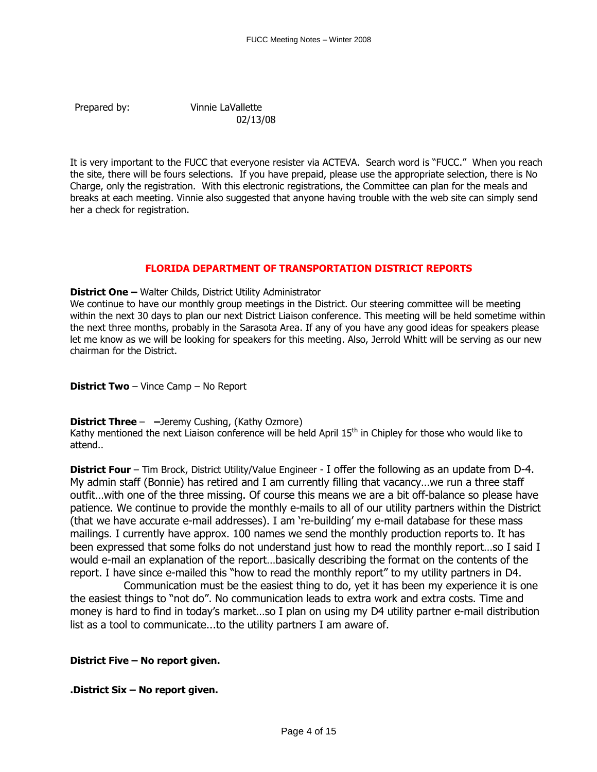Prepared by: Vinnie LaVallette

02/13/08

It is very important to the FUCC that everyone resister via ACTEVA. Search word is "FUCC." When you reach the site, there will be fours selections. If you have prepaid, please use the appropriate selection, there is No Charge, only the registration. With this electronic registrations, the Committee can plan for the meals and breaks at each meeting. Vinnie also suggested that anyone having trouble with the web site can simply send her a check for registration.

### **FLORIDA DEPARTMENT OF TRANSPORTATION DISTRICT REPORTS**

**District One –** Walter Childs, District Utility Administrator

We continue to have our monthly group meetings in the District. Our steering committee will be meeting within the next 30 days to plan our next District Liaison conference. This meeting will be held sometime within the next three months, probably in the Sarasota Area. If any of you have any good ideas for speakers please let me know as we will be looking for speakers for this meeting. Also, Jerrold Whitt will be serving as our new chairman for the District.

**District Two** – Vince Camp – No Report

**District Three** – **–**Jeremy Cushing, (Kathy Ozmore)

Kathy mentioned the next Liaison conference will be held April 15<sup>th</sup> in Chipley for those who would like to attend..

**District Four** – Tim Brock, District Utility/Value Engineer - I offer the following as an update from D-4. My admin staff (Bonnie) has retired and I am currently filling that vacancy…we run a three staff outfit…with one of the three missing. Of course this means we are a bit off-balance so please have patience. We continue to provide the monthly e-mails to all of our utility partners within the District (that we have accurate e-mail addresses). I am 're-building' my e-mail database for these mass mailings. I currently have approx. 100 names we send the monthly production reports to. It has been expressed that some folks do not understand just how to read the monthly report…so I said I would e-mail an explanation of the report…basically describing the format on the contents of the report. I have since e-mailed this "how to read the monthly report" to my utility partners in D4.

 Communication must be the easiest thing to do, yet it has been my experience it is one the easiest things to "not do". No communication leads to extra work and extra costs. Time and money is hard to find in today's market…so I plan on using my D4 utility partner e-mail distribution list as a tool to communicate...to the utility partners I am aware of.

**District Five – No report given.**

**.District Six – No report given.**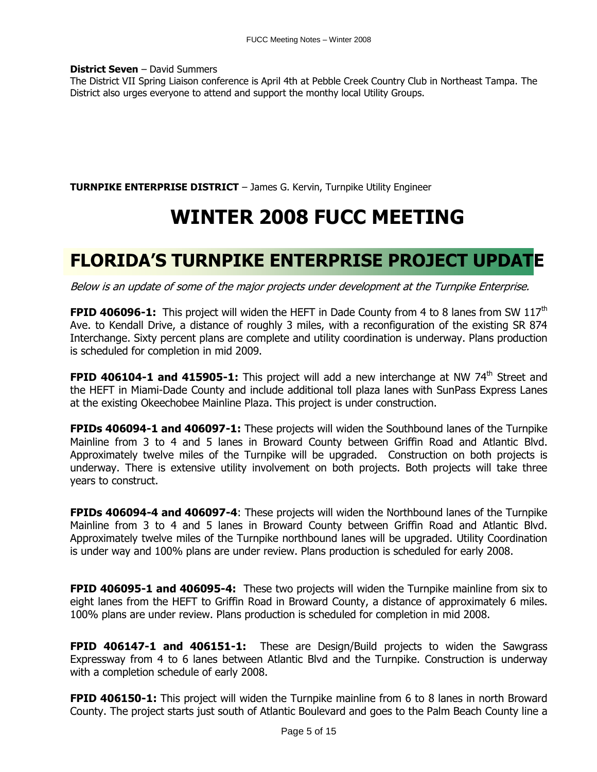**District Seven** – David Summers

The District VII Spring Liaison conference is April 4th at Pebble Creek Country Club in Northeast Tampa. The District also urges everyone to attend and support the monthy local Utility Groups.

**TURNPIKE ENTERPRISE DISTRICT** – James G. Kervin, Turnpike Utility Engineer

# **WINTER 2008 FUCC MEETING**

# **FLORIDA'S TURNPIKE ENTERPRISE PROJECT UPDATE**

Below is an update of some of the major projects under development at the Turnpike Enterprise.

**FPID 406096-1:** This project will widen the HEFT in Dade County from 4 to 8 lanes from SW 117<sup>th</sup> Ave. to Kendall Drive, a distance of roughly 3 miles, with a reconfiguration of the existing SR 874 Interchange. Sixty percent plans are complete and utility coordination is underway. Plans production is scheduled for completion in mid 2009.

FPID 406104-1 and 415905-1: This project will add a new interchange at NW 74<sup>th</sup> Street and the HEFT in Miami-Dade County and include additional toll plaza lanes with SunPass Express Lanes at the existing Okeechobee Mainline Plaza. This project is under construction.

**FPIDs 406094-1 and 406097-1:** These projects will widen the Southbound lanes of the Turnpike Mainline from 3 to 4 and 5 lanes in Broward County between Griffin Road and Atlantic Blvd. Approximately twelve miles of the Turnpike will be upgraded. Construction on both projects is underway. There is extensive utility involvement on both projects. Both projects will take three years to construct.

**FPIDs 406094-4 and 406097-4**: These projects will widen the Northbound lanes of the Turnpike Mainline from 3 to 4 and 5 lanes in Broward County between Griffin Road and Atlantic Blvd. Approximately twelve miles of the Turnpike northbound lanes will be upgraded. Utility Coordination is under way and 100% plans are under review. Plans production is scheduled for early 2008.

**FPID 406095-1 and 406095-4:** These two projects will widen the Turnpike mainline from six to eight lanes from the HEFT to Griffin Road in Broward County, a distance of approximately 6 miles. 100% plans are under review. Plans production is scheduled for completion in mid 2008.

**FPID 406147-1 and 406151-1:** These are Design/Build projects to widen the Sawgrass Expressway from 4 to 6 lanes between Atlantic Blvd and the Turnpike. Construction is underway with a completion schedule of early 2008.

**FPID 406150-1:** This project will widen the Turnpike mainline from 6 to 8 lanes in north Broward County. The project starts just south of Atlantic Boulevard and goes to the Palm Beach County line a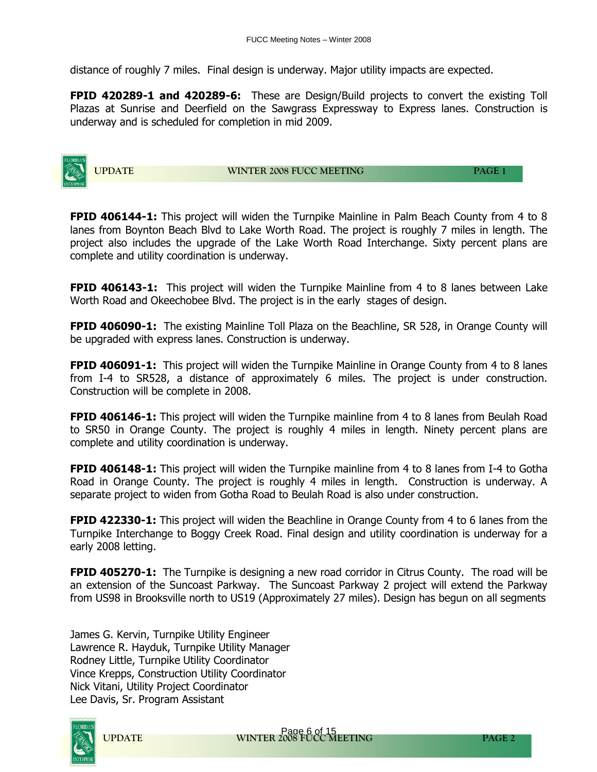distance of roughly 7 miles. Final design is underway. Major utility impacts are expected.

**FPID 420289-1 and 420289-6:** These are Design/Build projects to convert the existing Toll Plazas at Sunrise and Deerfield on the Sawgrass Expressway to Express lanes. Construction is underway and is scheduled for completion in mid 2009.



**UPDATE WINTER 2008 FUCC MEETING PAGE 1** 

**FPID 406144-1:** This project will widen the Turnpike Mainline in Palm Beach County from 4 to 8 lanes from Boynton Beach Blvd to Lake Worth Road. The project is roughly 7 miles in length. The project also includes the upgrade of the Lake Worth Road Interchange. Sixty percent plans are complete and utility coordination is underway.

**FPID 406143-1:** This project will widen the Turnpike Mainline from 4 to 8 lanes between Lake Worth Road and Okeechobee Blvd. The project is in the early stages of design.

**FPID 406090-1:** The existing Mainline Toll Plaza on the Beachline, SR 528, in Orange County will be upgraded with express lanes. Construction is underway.

**FPID 406091-1:** This project will widen the Turnpike Mainline in Orange County from 4 to 8 lanes from I-4 to SR528, a distance of approximately 6 miles. The project is under construction. Construction will be complete in 2008.

**FPID 406146-1:** This project will widen the Turnpike mainline from 4 to 8 lanes from Beulah Road to SR50 in Orange County. The project is roughly 4 miles in length. Ninety percent plans are complete and utility coordination is underway.

**FPID 406148-1:** This project will widen the Turnpike mainline from 4 to 8 lanes from I-4 to Gotha Road in Orange County. The project is roughly 4 miles in length. Construction is underway. A separate project to widen from Gotha Road to Beulah Road is also under construction.

**FPID 422330-1:** This project will widen the Beachline in Orange County from 4 to 6 lanes from the Turnpike Interchange to Boggy Creek Road. Final design and utility coordination is underway for a early 2008 letting.

**FPID 405270-1:** The Turnpike is designing a new road corridor in Citrus County. The road will be an extension of the Suncoast Parkway. The Suncoast Parkway 2 project will extend the Parkway from US98 in Brooksville north to US19 (Approximately 27 miles). Design has begun on all segments

James G. Kervin, Turnpike Utility Engineer Lawrence R. Hayduk, Turnpike Utility Manager Rodney Little, Turnpike Utility Coordinator Vince Krepps, Construction Utility Coordinator Nick Vitani, Utility Project Coordinator Lee Davis, Sr. Program Assistant

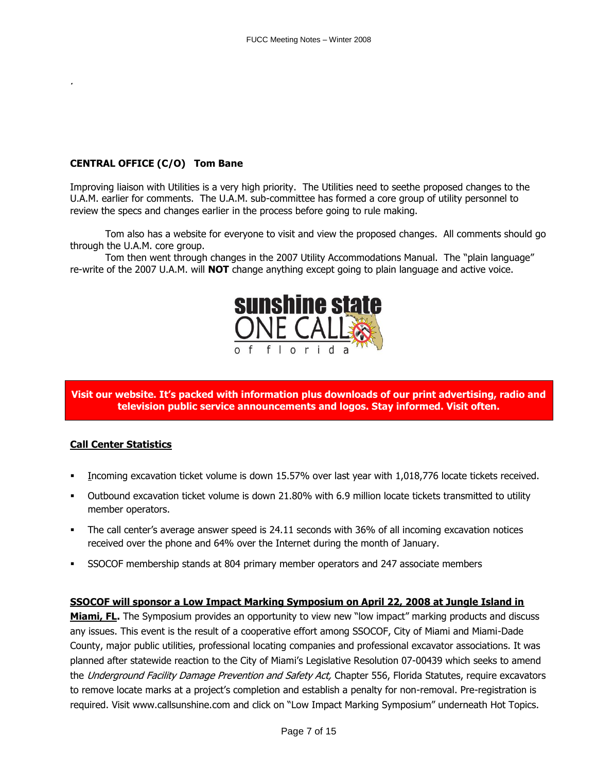## **CENTRAL OFFICE (C/O) Tom Bane**

Improving liaison with Utilities is a very high priority. The Utilities need to seethe proposed changes to the U.A.M. earlier for comments. The U.A.M. sub-committee has formed a core group of utility personnel to review the specs and changes earlier in the process before going to rule making.

Tom also has a website for everyone to visit and view the proposed changes. All comments should go through the U.A.M. core group.

Tom then went through changes in the 2007 Utility Accommodations Manual. The "plain language" re-write of the 2007 U.A.M. will **NOT** change anything except going to plain language and active voice.



### **Visit our website. It's packed with information plus downloads of our print advertising, radio and television public service announcements and logos. Stay informed. Visit often.**

### **Call Center Statistics**

- Incoming excavation ticket volume is down 15.57% over last year with 1,018,776 locate tickets received.
- Outbound excavation ticket volume is down 21.80% with 6.9 million locate tickets transmitted to utility member operators.
- The call center's average answer speed is 24.11 seconds with 36% of all incoming excavation notices received over the phone and 64% over the Internet during the month of January.
- SSOCOF membership stands at 804 primary member operators and 247 associate members

### **SSOCOF will sponsor a Low Impact Marking Symposium on April 22, 2008 at Jungle Island in**

Miami, FL. The Symposium provides an opportunity to view new "low impact" marking products and discuss any issues. This event is the result of a cooperative effort among SSOCOF, City of Miami and Miami-Dade County, major public utilities, professional locating companies and professional excavator associations. It was planned after statewide reaction to the City of Miami's Legislative Resolution 07-00439 which seeks to amend the Underground Facility Damage Prevention and Safety Act, Chapter 556, Florida Statutes, require excavators to remove locate marks at a project's completion and establish a penalty for non-removal. Pre-registration is required. Visit [www.callsunshine.com](http://www.callsunshine.com/) and click on "Low Impact Marking Symposium" underneath Hot Topics.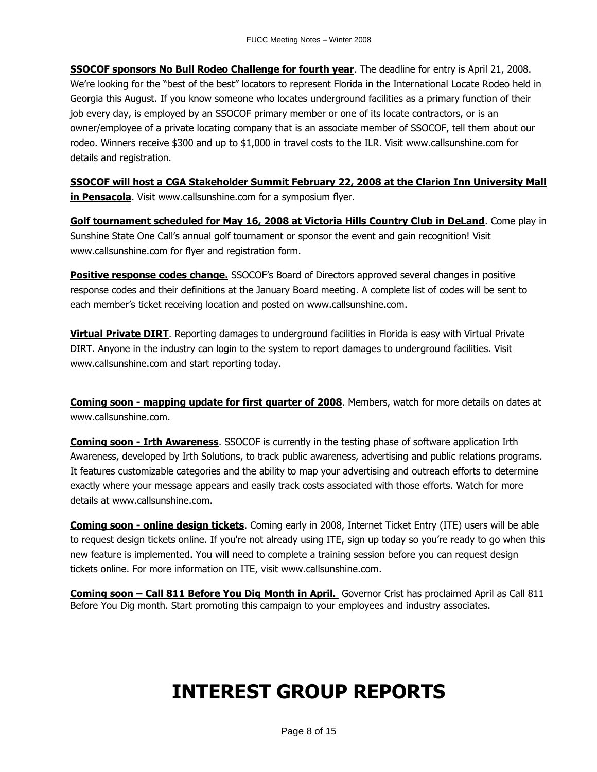**SSOCOF sponsors No Bull Rodeo Challenge for fourth year**. The deadline for entry is April 21, 2008. We're looking for the "best of the best" locators to represent Florida in the International Locate Rodeo held in Georgia this August. If you know someone who locates underground facilities as a primary function of their job every day, is employed by an SSOCOF primary member or one of its locate contractors, or is an owner/employee of a private locating company that is an associate member of SSOCOF, tell them about our rodeo. Winners receive \$300 and up to \$1,000 in travel costs to the ILR. Visit www.callsunshine.com for details and registration.

**SSOCOF will host a CGA Stakeholder Summit February 22, 2008 at the Clarion Inn University Mall in Pensacola**. Visit [www.callsunshine.com](http://www.callsunshine.com/) for a symposium flyer.

**Golf tournament scheduled for May 16, 2008 at Victoria Hills Country Club in DeLand**. Come play in Sunshine State One Call's annual golf tournament or sponsor the event and gain recognition! Visit [www.callsunshine.com](http://www.callsunshine.com/) for flyer and registration form.

**Positive response codes change.** SSOCOF's Board of Directors approved several changes in positive response codes and their definitions at the January Board meeting. A complete list of codes will be sent to each member's ticket receiving location and posted on [www.callsunshine.com.](http://www.callsunshine.com/)

**Virtual Private DIRT**. Reporting damages to underground facilities in Florida is easy with Virtual Private DIRT. Anyone in the industry can login to the system to report damages to underground facilities. Visit [www.callsunshine.com](http://www.callsunshine.com/) and start reporting today.

**Coming soon - mapping update for first quarter of 2008**. Members, watch for more details on dates at [www.callsunshine.com.](http://www.callsunshine.com/)

**Coming soon - Irth Awareness**. SSOCOF is currently in the testing phase of software application Irth Awareness, developed by Irth Solutions, to track public awareness, advertising and public relations programs. It features customizable categories and the ability to map your advertising and outreach efforts to determine exactly where your message appears and easily track costs associated with those efforts. Watch for more details at [www.callsunshine.com.](http://www.callsunshine.com/)

**Coming soon - online design tickets**. Coming early in 2008, Internet Ticket Entry (ITE) users will be able to request design tickets online. If you're not already using ITE, [sign up](http://www.callsunshine.com/ssocof/Forms/iteapp.pdf) today so you're ready to go when this new feature is implemented. You will need to complete a training session before you can request design tickets online. For more information on ITE, visit [www.callsunshine.com.](http://www.callsunshine.com/)

**Coming soon – Call 811 Before You Dig Month in April.** Governor Crist has proclaimed April as Call 811 Before You Dig month. Start promoting this campaign to your employees and industry associates.

# **INTEREST GROUP REPORTS**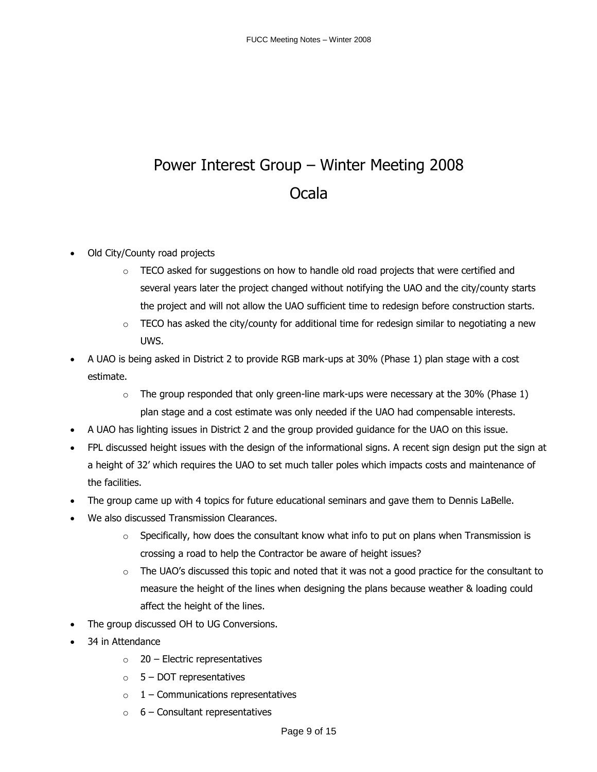# Power Interest Group – Winter Meeting 2008 Ocala

- Old City/County road projects
	- $\circ$  TECO asked for suggestions on how to handle old road projects that were certified and several years later the project changed without notifying the UAO and the city/county starts the project and will not allow the UAO sufficient time to redesign before construction starts.
	- $\circ$  TECO has asked the city/county for additional time for redesign similar to negotiating a new UWS.
- A UAO is being asked in District 2 to provide RGB mark-ups at 30% (Phase 1) plan stage with a cost estimate.
	- $\circ$  The group responded that only green-line mark-ups were necessary at the 30% (Phase 1) plan stage and a cost estimate was only needed if the UAO had compensable interests.
- A UAO has lighting issues in District 2 and the group provided guidance for the UAO on this issue.
- FPL discussed height issues with the design of the informational signs. A recent sign design put the sign at a height of 32' which requires the UAO to set much taller poles which impacts costs and maintenance of the facilities.
- The group came up with 4 topics for future educational seminars and gave them to Dennis LaBelle.
- We also discussed Transmission Clearances.
	- $\circ$  Specifically, how does the consultant know what info to put on plans when Transmission is crossing a road to help the Contractor be aware of height issues?
	- $\circ$  The UAO's discussed this topic and noted that it was not a good practice for the consultant to measure the height of the lines when designing the plans because weather & loading could affect the height of the lines.
- The group discussed OH to UG Conversions.
- 34 in Attendance
	- $\circ$  20 Electric representatives
	- $\circ$  5 DOT representatives
	- $\circ$  1 Communications representatives
	- $\circ$  6 Consultant representatives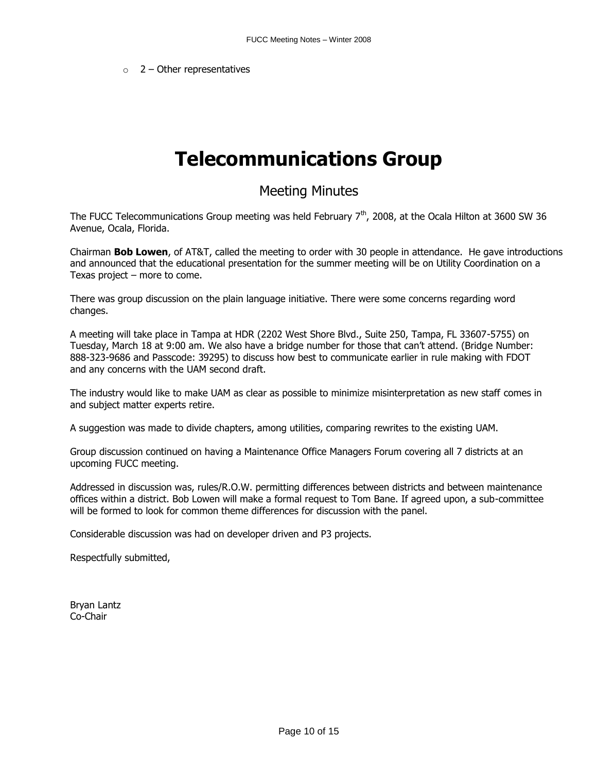$\circ$  2 – Other representatives

# **Telecommunications Group**

## Meeting Minutes

The FUCC Telecommunications Group meeting was held February  $7<sup>th</sup>$ , 2008, at the Ocala Hilton at 3600 SW 36 Avenue, Ocala, Florida.

Chairman **Bob Lowen**, of AT&T, called the meeting to order with 30 people in attendance. He gave introductions and announced that the educational presentation for the summer meeting will be on Utility Coordination on a Texas project – more to come.

There was group discussion on the plain language initiative. There were some concerns regarding word changes.

A meeting will take place in Tampa at HDR (2202 West Shore Blvd., Suite 250, Tampa, FL 33607-5755) on Tuesday, March 18 at 9:00 am. We also have a bridge number for those that can't attend. (Bridge Number: 888-323-9686 and Passcode: 39295) to discuss how best to communicate earlier in rule making with FDOT and any concerns with the UAM second draft.

The industry would like to make UAM as clear as possible to minimize misinterpretation as new staff comes in and subject matter experts retire.

A suggestion was made to divide chapters, among utilities, comparing rewrites to the existing UAM.

Group discussion continued on having a Maintenance Office Managers Forum covering all 7 districts at an upcoming FUCC meeting.

Addressed in discussion was, rules/R.O.W. permitting differences between districts and between maintenance offices within a district. Bob Lowen will make a formal request to Tom Bane. If agreed upon, a sub-committee will be formed to look for common theme differences for discussion with the panel.

Considerable discussion was had on developer driven and P3 projects.

Respectfully submitted,

Bryan Lantz Co-Chair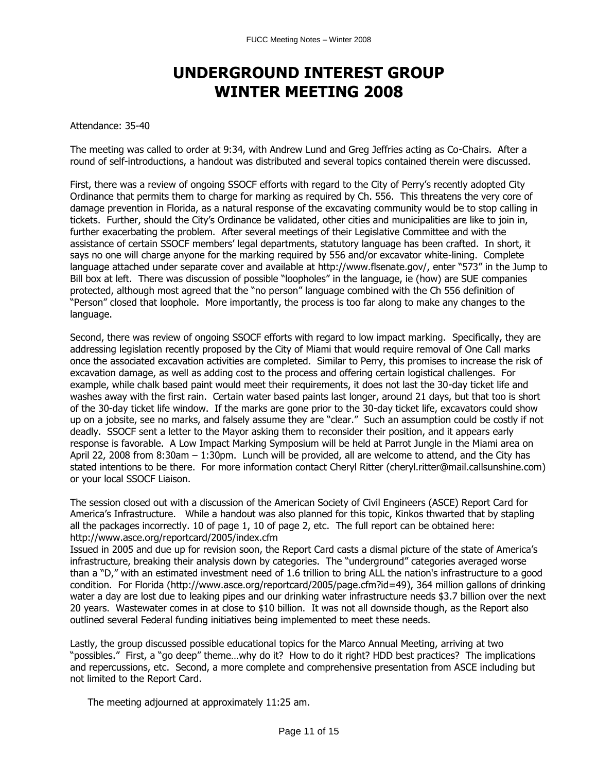# **UNDERGROUND INTEREST GROUP WINTER MEETING 2008**

### Attendance: 35-40

The meeting was called to order at 9:34, with Andrew Lund and Greg Jeffries acting as Co-Chairs. After a round of self-introductions, a handout was distributed and several topics contained therein were discussed.

First, there was a review of ongoing SSOCF efforts with regard to the City of Perry's recently adopted City Ordinance that permits them to charge for marking as required by Ch. 556. This threatens the very core of damage prevention in Florida, as a natural response of the excavating community would be to stop calling in tickets. Further, should the City's Ordinance be validated, other cities and municipalities are like to join in, further exacerbating the problem. After several meetings of their Legislative Committee and with the assistance of certain SSOCF members' legal departments, statutory language has been crafted. In short, it says no one will charge anyone for the marking required by 556 and/or excavator white-lining. Complete language attached under separate cover and available at<http://www.flsenate.gov/>, enter "573" in the Jump to Bill box at left. There was discussion of possible "loopholes" in the language, ie (how) are SUE companies protected, although most agreed that the "no person" language combined with the Ch 556 definition of "Person" closed that loophole. More importantly, the process is too far along to make any changes to the language.

Second, there was review of ongoing SSOCF efforts with regard to low impact marking. Specifically, they are addressing legislation recently proposed by the City of Miami that would require removal of One Call marks once the associated excavation activities are completed. Similar to Perry, this promises to increase the risk of excavation damage, as well as adding cost to the process and offering certain logistical challenges. For example, while chalk based paint would meet their requirements, it does not last the 30-day ticket life and washes away with the first rain. Certain water based paints last longer, around 21 days, but that too is short of the 30-day ticket life window. If the marks are gone prior to the 30-day ticket life, excavators could show up on a jobsite, see no marks, and falsely assume they are "clear." Such an assumption could be costly if not deadly. SSOCF sent a letter to the Mayor asking them to reconsider their position, and it appears early response is favorable. A Low Impact Marking Symposium will be held at Parrot Jungle in the Miami area on April 22, 2008 from 8:30am – 1:30pm. Lunch will be provided, all are welcome to attend, and the City has stated intentions to be there. For more information contact Cheryl Ritter (cheryl.ritter@mail.callsunshine.com) or your local SSOCF Liaison.

The session closed out with a discussion of the American Society of Civil Engineers (ASCE) Report Card for America's Infrastructure. While a handout was also planned for this topic, Kinkos thwarted that by stapling all the packages incorrectly. 10 of page 1, 10 of page 2, etc. The full report can be obtained here: <http://www.asce.org/reportcard/2005/index.cfm>

Issued in 2005 and due up for revision soon, the Report Card casts a dismal picture of the state of America's infrastructure, breaking their analysis down by categories. The "underground" categories averaged worse than a "D," with an estimated investment need of 1.6 trillion to bring ALL the nation's infrastructure to a good condition. For Florida [\(http://www.asce.org/reportcard/2005/page.cfm?id=49\)](http://www.asce.org/reportcard/2005/page.cfm?id=49), 364 million gallons of drinking water a day are lost due to leaking pipes and our drinking water infrastructure needs \$3.7 billion over the next 20 years. Wastewater comes in at close to \$10 billion. It was not all downside though, as the Report also outlined several Federal funding initiatives being implemented to meet these needs.

Lastly, the group discussed possible educational topics for the Marco Annual Meeting, arriving at two "possibles." First, a "go deep" theme…why do it? How to do it right? HDD best practices? The implications and repercussions, etc. Second, a more complete and comprehensive presentation from ASCE including but not limited to the Report Card.

The meeting adjourned at approximately 11:25 am.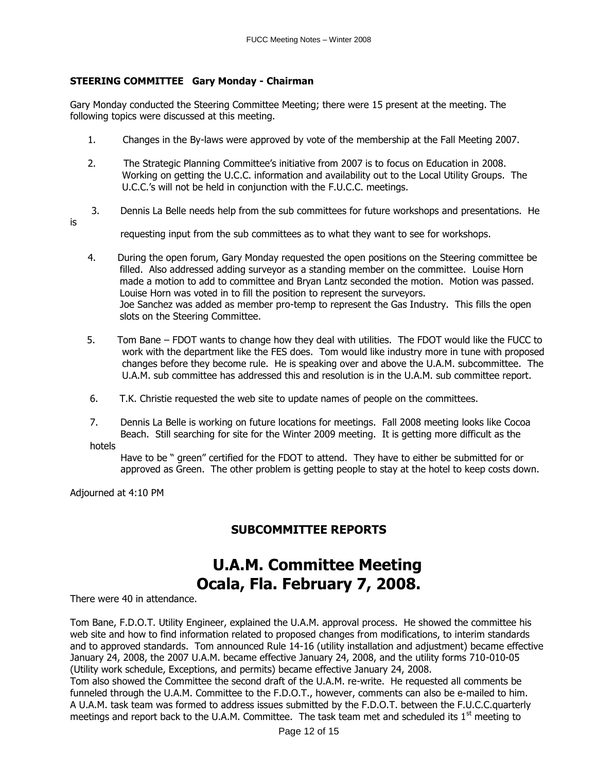### **STEERING COMMITTEE Gary Monday - Chairman**

Gary Monday conducted the Steering Committee Meeting; there were 15 present at the meeting. The following topics were discussed at this meeting.

- 1. Changes in the By-laws were approved by vote of the membership at the Fall Meeting 2007.
- 2. The Strategic Planning Committee's initiative from 2007 is to focus on Education in 2008. Working on getting the U.C.C. information and availability out to the Local Utility Groups. The U.C.C.'s will not be held in conjunction with the F.U.C.C. meetings.
- 3. Dennis La Belle needs help from the sub committees for future workshops and presentations. He
- is

requesting input from the sub committees as to what they want to see for workshops.

- 4. During the open forum, Gary Monday requested the open positions on the Steering committee be filled. Also addressed adding surveyor as a standing member on the committee. Louise Horn made a motion to add to committee and Bryan Lantz seconded the motion. Motion was passed. Louise Horn was voted in to fill the position to represent the surveyors. Joe Sanchez was added as member pro-temp to represent the Gas Industry. This fills the open slots on the Steering Committee.
- 5. Tom Bane FDOT wants to change how they deal with utilities. The FDOT would like the FUCC to work with the department like the FES does. Tom would like industry more in tune with proposed changes before they become rule. He is speaking over and above the U.A.M. subcommittee. The U.A.M. sub committee has addressed this and resolution is in the U.A.M. sub committee report.
- 6. T.K. Christie requested the web site to update names of people on the committees.
- 7. Dennis La Belle is working on future locations for meetings. Fall 2008 meeting looks like Cocoa Beach. Still searching for site for the Winter 2009 meeting. It is getting more difficult as the

hotels

Have to be " green" certified for the FDOT to attend. They have to either be submitted for or approved as Green. The other problem is getting people to stay at the hotel to keep costs down.

Adjourned at 4:10 PM

## **SUBCOMMITTEE REPORTS**

# **U.A.M. Committee Meeting Ocala, Fla. February 7, 2008.**

There were 40 in attendance.

Tom Bane, F.D.O.T. Utility Engineer, explained the U.A.M. approval process. He showed the committee his web site and how to find information related to proposed changes from modifications, to interim standards and to approved standards. Tom announced Rule 14-16 (utility installation and adjustment) became effective January 24, 2008, the 2007 U.A.M. became effective January 24, 2008, and the utility forms 710-010-05 (Utility work schedule, Exceptions, and permits) became effective January 24, 2008.

Tom also showed the Committee the second draft of the U.A.M. re-write. He requested all comments be funneled through the U.A.M. Committee to the F.D.O.T., however, comments can also be e-mailed to him. A U.A.M. task team was formed to address issues submitted by the F.D.O.T. between the F.U.C.C.quarterly meetings and report back to the U.A.M. Committee. The task team met and scheduled its  $1<sup>st</sup>$  meeting to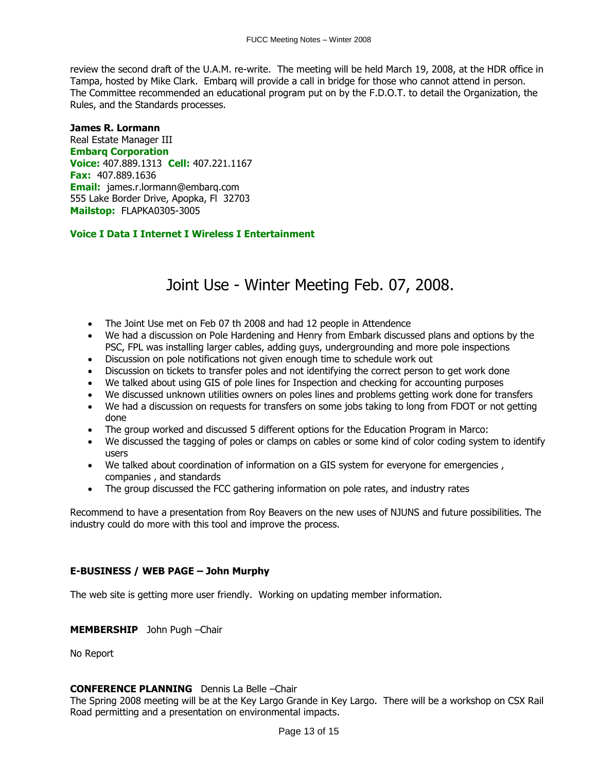review the second draft of the U.A.M. re-write. The meeting will be held March 19, 2008, at the HDR office in Tampa, hosted by Mike Clark. Embarq will provide a call in bridge for those who cannot attend in person. The Committee recommended an educational program put on by the F.D.O.T. to detail the Organization, the Rules, and the Standards processes.

### **James R. Lormann**

Real Estate Manager III **Embarq Corporation Voice:** 407.889.1313 **Cell:** 407.221.1167 **Fax:** 407.889.1636 **Email:** [james.r.lormann@embarq.com](mailto:james.r.lormann@embarq.com) 555 Lake Border Drive, Apopka, Fl 32703 **Mailstop:** FLAPKA0305-3005

### **Voice I Data I Internet I Wireless I Entertainment**

# Joint Use - Winter Meeting Feb. 07, 2008.

- The Joint Use met on Feb 07 th 2008 and had 12 people in Attendence
- We had a discussion on Pole Hardening and Henry from Embark discussed plans and options by the PSC, FPL was installing larger cables, adding guys, undergrounding and more pole inspections
- Discussion on pole notifications not given enough time to schedule work out
- Discussion on tickets to transfer poles and not identifying the correct person to get work done
- We talked about using GIS of pole lines for Inspection and checking for accounting purposes
- We discussed unknown utilities owners on poles lines and problems getting work done for transfers
- We had a discussion on requests for transfers on some jobs taking to long from FDOT or not getting done
- The group worked and discussed 5 different options for the Education Program in Marco:
- We discussed the tagging of poles or clamps on cables or some kind of color coding system to identify users
- We talked about coordination of information on a GIS system for everyone for emergencies , companies , and standards
- The group discussed the FCC gathering information on pole rates, and industry rates

Recommend to have a presentation from Roy Beavers on the new uses of NJUNS and future possibilities. The industry could do more with this tool and improve the process.

### **E-BUSINESS / WEB PAGE – John Murphy**

The web site is getting more user friendly. Working on updating member information.

**MEMBERSHIP** John Pugh –Chair

No Report

### **CONFERENCE PLANNING** Dennis La Belle –Chair

The Spring 2008 meeting will be at the Key Largo Grande in Key Largo. There will be a workshop on CSX Rail Road permitting and a presentation on environmental impacts.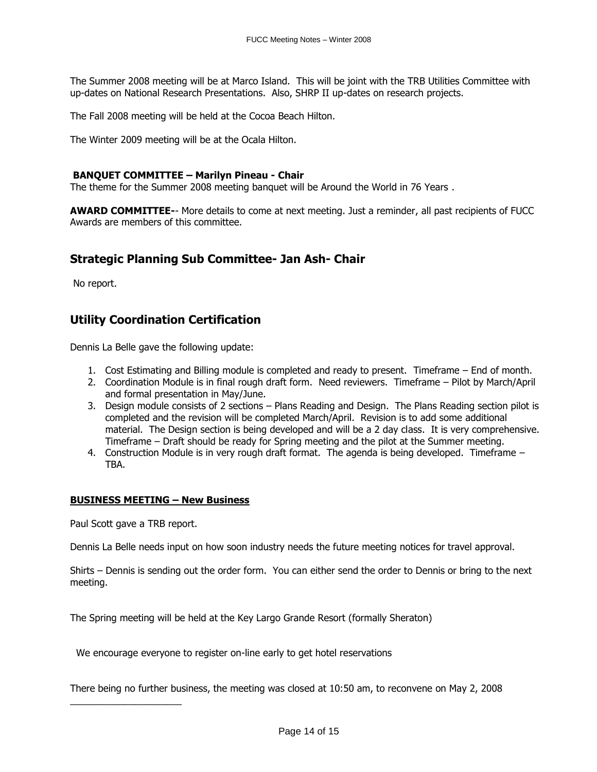The Summer 2008 meeting will be at Marco Island. This will be joint with the TRB Utilities Committee with up-dates on National Research Presentations. Also, SHRP II up-dates on research projects.

The Fall 2008 meeting will be held at the Cocoa Beach Hilton.

The Winter 2009 meeting will be at the Ocala Hilton.

### **BANQUET COMMITTEE – Marilyn Pineau - Chair**

The theme for the Summer 2008 meeting banquet will be Around the World in 76 Years .

**AWARD COMMITTEE-**- More details to come at next meeting. Just a reminder, all past recipients of FUCC Awards are members of this committee.

### **Strategic Planning Sub Committee- Jan Ash- Chair**

No report.

## **Utility Coordination Certification**

Dennis La Belle gave the following update:

- 1. Cost Estimating and Billing module is completed and ready to present. Timeframe End of month.
- 2. Coordination Module is in final rough draft form. Need reviewers. Timeframe Pilot by March/April and formal presentation in May/June.
- 3. Design module consists of 2 sections Plans Reading and Design. The Plans Reading section pilot is completed and the revision will be completed March/April. Revision is to add some additional material. The Design section is being developed and will be a 2 day class. It is very comprehensive. Timeframe – Draft should be ready for Spring meeting and the pilot at the Summer meeting.
- 4. Construction Module is in very rough draft format. The agenda is being developed. Timeframe TBA.

#### **BUSINESS MEETING – New Business**

Paul Scott gave a TRB report.

\_\_\_\_\_\_\_\_\_\_\_\_\_\_\_\_\_\_\_\_\_

Dennis La Belle needs input on how soon industry needs the future meeting notices for travel approval.

Shirts – Dennis is sending out the order form. You can either send the order to Dennis or bring to the next meeting.

The Spring meeting will be held at the Key Largo Grande Resort (formally Sheraton)

We encourage everyone to register on-line early to get hotel reservations

There being no further business, the meeting was closed at 10:50 am, to reconvene on May 2, 2008